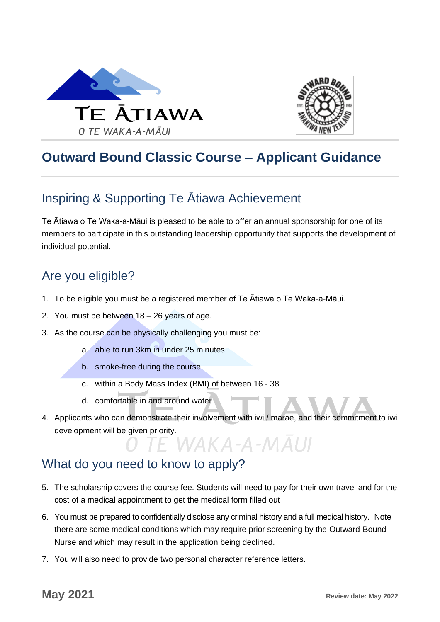



## **Outward Bound Classic Course – Applicant Guidance**

## Inspiring & Supporting Te Ātiawa Achievement

Te Ātiawa o Te Waka-a-Māui is pleased to be able to offer an annual sponsorship for one of its members to participate in this outstanding leadership opportunity that supports the development of individual potential.

## Are you eligible?

- 1. To be eligible you must be a registered member of Te Ātiawa o Te Waka-a-Māui.
- 2. You must be between 18 26 years of age.
- 3. As the course can be physically challenging you must be:
	- a. able to run 3km in under 25 minutes
	- b. smoke-free during the course
	- c. within a Body Mass Index (BMI) of between 16 38
	- d. comfortable in and around water
- 4. Applicants who can demonstrate their involvement with iwi / marae, and their commitment to iwi development will be given priority.<br>
O TE WAKA-A-MAUI

## What do you need to know to apply?

- 5. The scholarship covers the course fee. Students will need to pay for their own travel and for the cost of a medical appointment to get the medical form filled out
- 6. You must be prepared to confidentially disclose any criminal history and a full medical history. Note there are some medical conditions which may require prior screening by the Outward-Bound Nurse and which may result in the application being declined.
- 7. You will also need to provide two personal character reference letters.